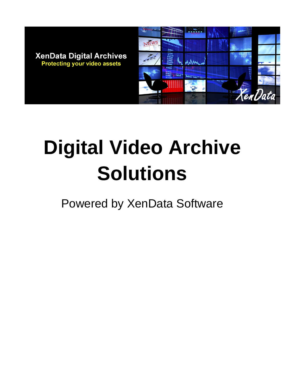

# **Digital Video Archive Solutions**

Powered by XenData Software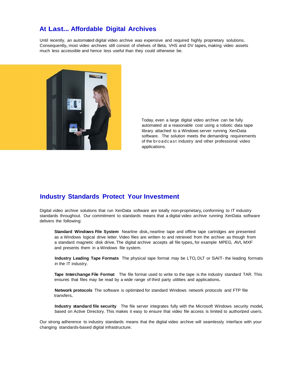### **At Last... Affordable Digital Archives**

Until recently, an automated digital video archive was expensive and required highly proprietary solutions. Consequently, most video archives still consist of shelves of Beta, VHS and DV tapes, making video assets much less accessible and hence less useful than they could otherwise be.



Today, even a large digital video archive can be fully automated at a reasonable cost using a robotic data tape library attached to a Windows server running XenData software. The solution meets the demanding requirements of the broadcast industry and other professional video applications.

### **Industry Standards Protect Your Investment**

Digital video archive solutions that run XenData software are totally non-proprietary, conforming to IT industry standards throughout. Our commitment to standards means that a digital video archive running XenData software delivers the following:

**Standard Windows File System** Nearline disk, nearline tape and offline tape cartridges are presented as a Windows logical drive letter. Video files are written to and retrieved from the archive as though from a standard magnetic disk drive. The digital archive accepts all file types, for example MPEG, AVI, MXF and presents them in a Windows file system.

**Industry Leading Tape Formats** The physical tape format may be LTO,DLT or SAlT- the leading formats in the IT industry.

**Tape Interchange File Format** The file format used to write to the tape is the industry standard TAR. This ensures that files may be read by <sup>a</sup> wide range of third party utilities and applications.

**Network protocols** The software is optimized for standard Windows network protocols and FTP file transfers.

**Industry standard file security** The file server integrates fully with the Microsoft Windows security model, based on Active Directory. This makes it easy to ensure that video file access is limited to authorized users.

Our strong adherence to industry standards means that the digital video archive will seamlessly interface with your changing standards-based digital infrastructure.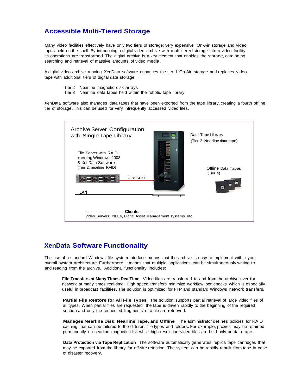## **Accessible Multi-Tiered Storage**

Many video facilities effectively have only two tiers of storage: very expensive 'On-Air' storage and video tapes held on the shelf. By introducing a digital video archive with multi-tiered storage into a video facility, its operations are transformed.The digital archive is <sup>a</sup> key element that enables the storage, cataloging, searching and retrieval of massive amounts of video media.

A digital video archive running XenData software enhances the tier 1 'On-Air' storage and replaces video tape with additional tiers of digital data storage:

- Tier 2 Nearline magnetic disk arrays
- Tier 3 Nearline data tapes held within the robotic tape library

XenData software also manages data tapes that have been exported from the tape library, creating <sup>a</sup> fourth offline tier of storage.This can be used for very infrequently accessed video files.

| <b>Archive Server Configuration</b><br>with Single Tape Library<br>$\overline{\bullet}$                                           | Data Tape Library<br>(Tier 3: Nearline data tape) |
|-----------------------------------------------------------------------------------------------------------------------------------|---------------------------------------------------|
| de la partie<br>File Server with RAID<br>running Windows 2003<br>F<br>& XenData Software<br>(Tier 2: nearline RAID)<br>FC or SCSI | Offline Data Tapes<br>(Tier 4)                    |
| LAN                                                                                                                               |                                                   |
| Clients -<br>Video Servers, NLEs, Digital Asset Management systems, etc.                                                          |                                                   |

# **XenData Software Functionality**

The use of a standard Windows file system interface means that the archive is easy to implement within your overall system architecture. Furthermore, it means that multiple applications can be simultaneously writing to and reading from the archive. Additional functionality includes:

**File Transfers at Many Times RealTime** Video files are transferred to and from the archive over the network at many times real-time. High speed transfers minimize workflow bottlenecks which is especially useful in broadcast facilities.The solution is optimized for FTP and standard Windows network transfers.

**Partial File Restore for All File Types** The solution supports partial retrieval of large video files of all types. When partial files are requested, the tape is driven rapidly to the beginning of the required section and only the requested fragments of a file are retrieved.

**Manages Nearline Disk, Nearline Tape, and Offline** The administrator defines policies for RAID caching that can be tailored to the different file types and folders.For example, proxies may be retained permanently on nearline magnetic disk while high resolution video files are held only on data tape.

**Data Protection via Tape Replication** The software automatically generates replica tape cartridges that may be exported from the library for off-site retention. The system can be rapidly rebuilt from tape in case of disaster recovery.